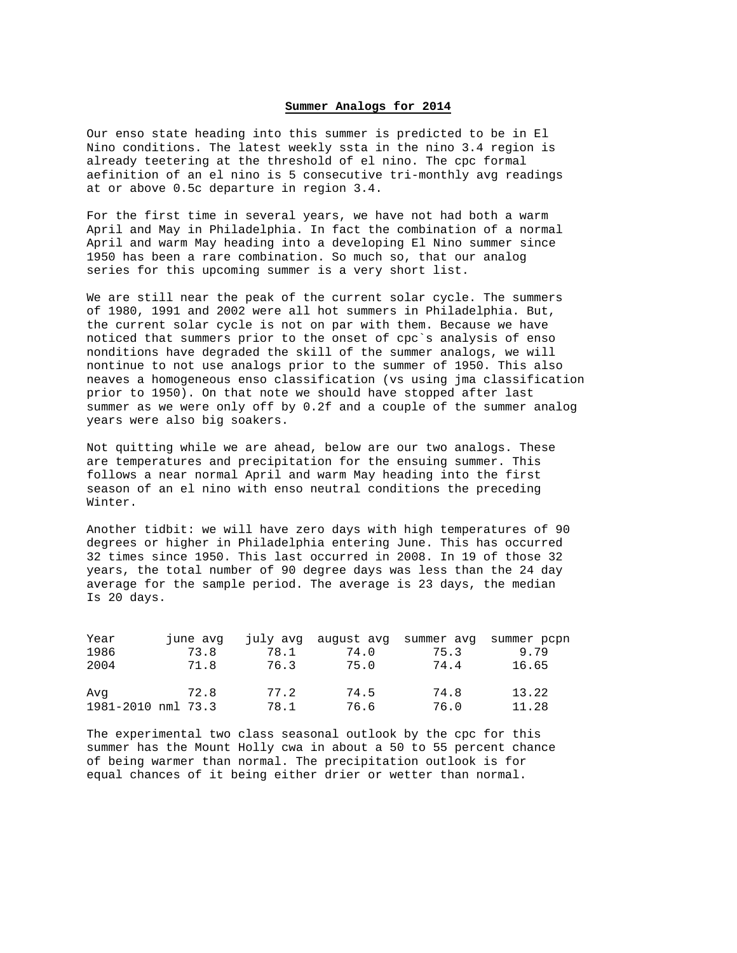## **Summer Analogs for 2014**

Our enso state heading into this summer is predicted to be in El Nino conditions. The latest weekly ssta in the nino 3.4 region is already teetering at the threshold of el nino. The cpc formal aefinition of an el nino is 5 consecutive tri-monthly avg readings at or above 0.5c departure in region 3.4.

For the first time in several years, we have not had both a warm April and May in Philadelphia. In fact the combination of a normal April and warm May heading into a developing El Nino summer since 1950 has been a rare combination. So much so, that our analog series for this upcoming summer is a very short list.

We are still near the peak of the current solar cycle. The summers of 1980, 1991 and 2002 were all hot summers in Philadelphia. But, the current solar cycle is not on par with them. Because we have noticed that summers prior to the onset of cpc`s analysis of enso nonditions have degraded the skill of the summer analogs, we will nontinue to not use analogs prior to the summer of 1950. This also neaves a homogeneous enso classification (vs using jma classification prior to 1950). On that note we should have stopped after last summer as we were only off by 0.2f and a couple of the summer analog years were also big soakers.

Not quitting while we are ahead, below are our two analogs. These are temperatures and precipitation for the ensuing summer. This follows a near normal April and warm May heading into the first season of an el nino with enso neutral conditions the preceding Winter.

Another tidbit: we will have zero days with high temperatures of 90 degrees or higher in Philadelphia entering June. This has occurred 32 times since 1950. This last occurred in 2008. In 19 of those 32 years, the total number of 90 degree days was less than the 24 day average for the sample period. The average is 23 days, the median Is 20 days.

| Year               | june avg |      |      |      | july avg august avg summer avg summer pcpn |       |
|--------------------|----------|------|------|------|--------------------------------------------|-------|
| 1986               | 73.8     | 78.1 | 74.0 | 75.3 |                                            | 9.79  |
| 2004               | 71.8     | 76.3 | 75.0 | 74.4 |                                            | 16.65 |
| Ava                | 72.8     | 77.2 | 74.5 | 74.8 |                                            | 13.22 |
| 1981-2010 nml 73.3 |          | 78.1 | 76.6 | 76.0 |                                            | 11.28 |

The experimental two class seasonal outlook by the cpc for this summer has the Mount Holly cwa in about a 50 to 55 percent chance of being warmer than normal. The precipitation outlook is for equal chances of it being either drier or wetter than normal.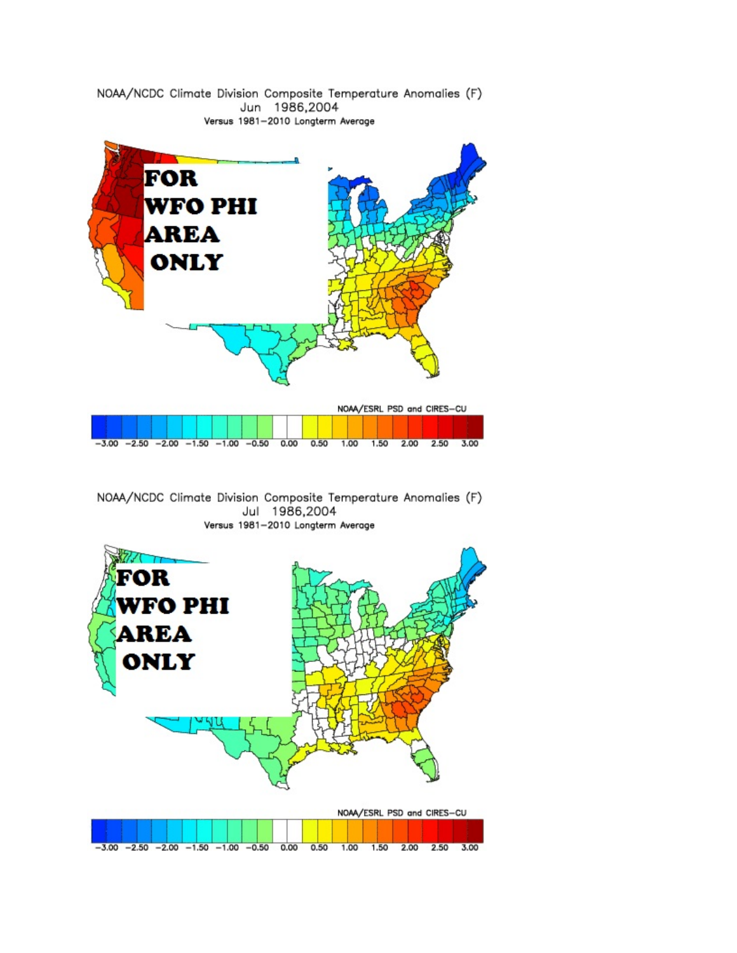

NOAA/NCDC Climate Division Composite Temperature Anomalies (F) Jul 1986,2004 Versus 1981-2010 Longterm Average

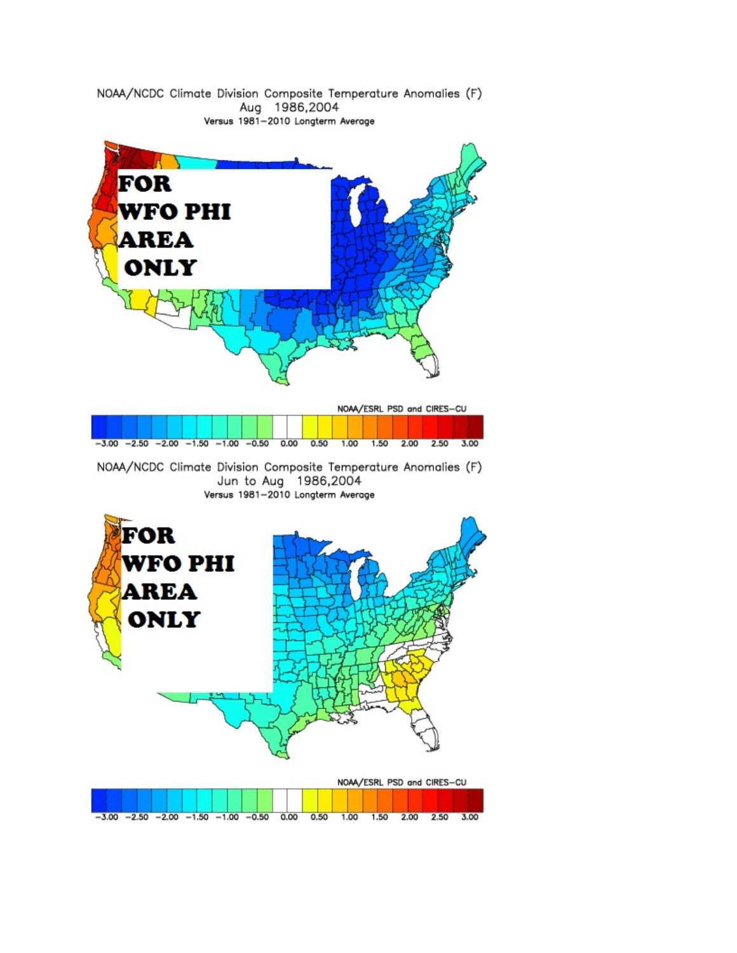

NOAA/NCDC Climate Division Composite Temperature Anomalies (F) Aug 1986,2004